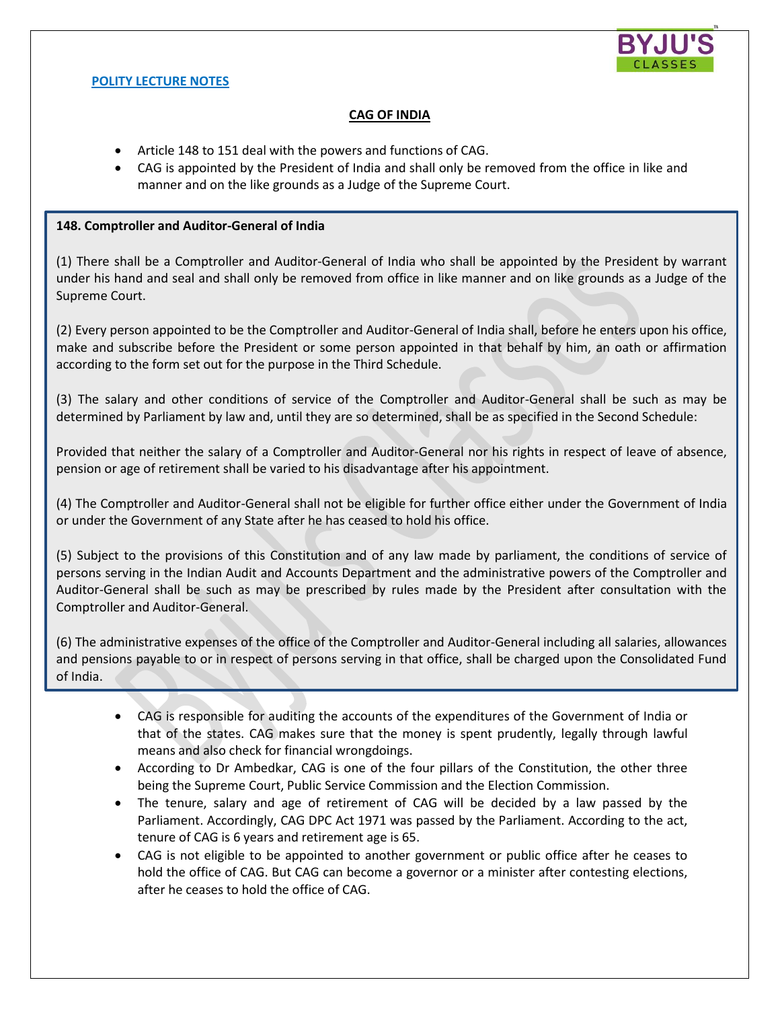

## **POLITY LECTURE NOTES**

# **CAG OF INDIA**

- Article 148 to 151 deal with the powers and functions of CAG.
- CAG is appointed by the President of India and shall only be removed from the office in like and manner and on the like grounds as a Judge of the Supreme Court.

## **148. Comptroller and Auditor-General of India**

(1) There shall be a Comptroller and Auditor-General of India who shall be appointed by the President by warrant under his hand and seal and shall only be removed from office in like manner and on like grounds as a Judge of the Supreme Court.

(2) Every person appointed to be the Comptroller and Auditor-General of India shall, before he enters upon his office, make and subscribe before the President or some person appointed in that behalf by him, an oath or affirmation according to the form set out for the purpose in the Third Schedule.

(3) The salary and other conditions of service of the Comptroller and Auditor-General shall be such as may be determined by Parliament by law and, until they are so determined, shall be as specified in the Second Schedule:

Provided that neither the salary of a Comptroller and Auditor-General nor his rights in respect of leave of absence, pension or age of retirement shall be varied to his disadvantage after his appointment.

(4) The Comptroller and Auditor-General shall not be eligible for further office either under the Government of India or under the Government of any State after he has ceased to hold his office.

(5) Subject to the provisions of this Constitution and of any law made by parliament, the conditions of service of persons serving in the Indian Audit and Accounts Department and the administrative powers of the Comptroller and Auditor-General shall be such as may be prescribed by rules made by the President after consultation with the Comptroller and Auditor-General.

(6) The administrative expenses of the office of the Comptroller and Auditor-General including all salaries, allowances and pensions payable to or in respect of persons serving in that office, shall be charged upon the Consolidated Fund of India.

- CAG is responsible for auditing the accounts of the expenditures of the Government of India or that of the states. CAG makes sure that the money is spent prudently, legally through lawful means and also check for financial wrongdoings.
- According to Dr Ambedkar, CAG is one of the four pillars of the Constitution, the other three being the Supreme Court, Public Service Commission and the Election Commission.
- The tenure, salary and age of retirement of CAG will be decided by a law passed by the Parliament. Accordingly, CAG DPC Act 1971 was passed by the Parliament. According to the act, tenure of CAG is 6 years and retirement age is 65.
- CAG is not eligible to be appointed to another government or public office after he ceases to hold the office of CAG. But CAG can become a governor or a minister after contesting elections, after he ceases to hold the office of CAG.